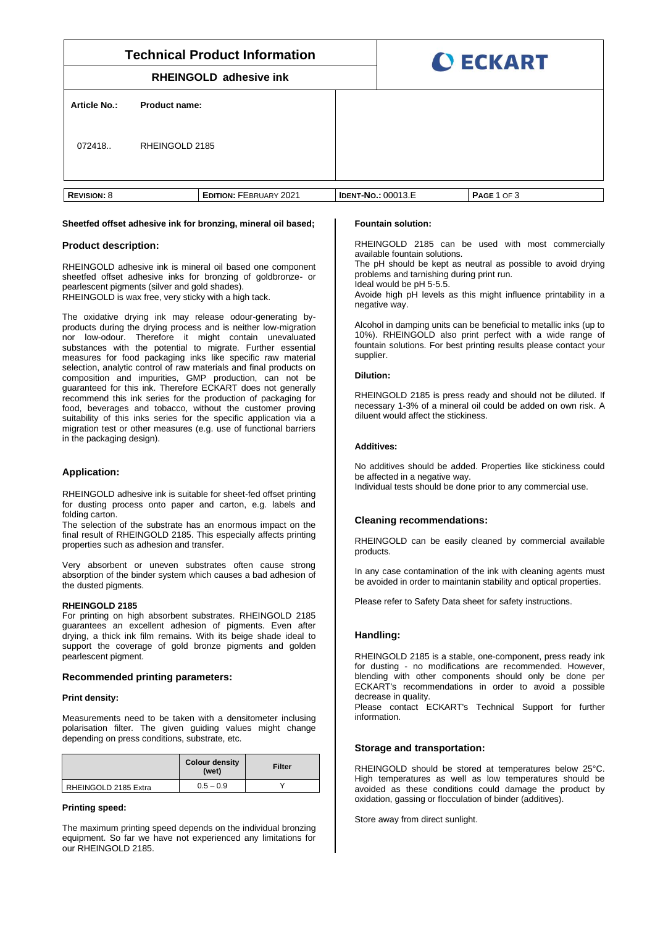| <b>Technical Product Information</b> |               |                               |  | <b>O ECKART</b>           |             |  |
|--------------------------------------|---------------|-------------------------------|--|---------------------------|-------------|--|
| <b>RHEINGOLD adhesive ink</b>        |               |                               |  |                           |             |  |
| <b>Article No.:</b>                  | Product name: |                               |  |                           |             |  |
| RHEINGOLD 2185<br>072418.            |               |                               |  |                           |             |  |
| <b>REVISION: 8</b>                   |               | <b>EDITION: FEBRUARY 2021</b> |  | <b>IDENT-NO.: 00013.E</b> | PAGE 1 OF 3 |  |

# **Sheetfed offset adhesive ink for bronzing, mineral oil based;**

## **Product description:**

RHEINGOLD adhesive ink is mineral oil based one component sheetfed offset adhesive inks for bronzing of goldbronze- or pearlescent pigments (silver and gold shades). RHEINGOLD is wax free, very sticky with a high tack.

The oxidative drying ink may release odour-generating byproducts during the drying process and is neither low-migration nor low-odour. Therefore it might contain unevaluated substances with the potential to migrate. Further essential measures for food packaging inks like specific raw material selection, analytic control of raw materials and final products on composition and impurities, GMP production, can not be guaranteed for this ink. Therefore ECKART does not generally recommend this ink series for the production of packaging for food, beverages and tobacco, without the customer proving suitability of this inks series for the specific application via a migration test or other measures (e.g. use of functional barriers in the packaging design).

## **Application:**

RHEINGOLD adhesive ink is suitable for sheet-fed offset printing for dusting process onto paper and carton, e.g. labels and folding carton.

The selection of the substrate has an enormous impact on the final result of RHEINGOLD 2185. This especially affects printing properties such as adhesion and transfer.

Very absorbent or uneven substrates often cause strong absorption of the binder system which causes a bad adhesion of the dusted pigments.

### **RHEINGOLD 2185**

For printing on high absorbent substrates. RHEINGOLD 2185 guarantees an excellent adhesion of pigments. Even after drying, a thick ink film remains. With its beige shade ideal to support the coverage of gold bronze pigments and golden pearlescent pigment.

## **Recommended printing parameters:**

#### **Print density:**

Measurements need to be taken with a densitometer inclusing polarisation filter. The given guiding values might change depending on press conditions, substrate, etc.

|                      | <b>Colour density</b><br>(wet) | Filter |
|----------------------|--------------------------------|--------|
| RHEINGOLD 2185 Extra | $0.5 - 0.9$                    |        |

### **Printing speed:**

The maximum printing speed depends on the individual bronzing equipment. So far we have not experienced any limitations for our RHEINGOLD 2185.

#### **Fountain solution:**

RHEINGOLD 2185 can be used with most commercially available fountain solutions.

The pH should be kept as neutral as possible to avoid drying problems and tarnishing during print run.

Ideal would be pH 5-5.5.

Avoide high pH levels as this might influence printability in a negative way.

Alcohol in damping units can be beneficial to metallic inks (up to 10%). RHEINGOLD also print perfect with a wide range of fountain solutions. For best printing results please contact your supplier.

#### **Dilution:**

RHEINGOLD 2185 is press ready and should not be diluted. If necessary 1-3% of a mineral oil could be added on own risk. A diluent would affect the stickiness.

#### **Additives:**

No additives should be added. Properties like stickiness could be affected in a negative way. Individual tests should be done prior to any commercial use.

# **Cleaning recommendations:**

RHEINGOLD can be easily cleaned by commercial available products.

In any case contamination of the ink with cleaning agents must be avoided in order to maintanin stability and optical properties.

Please refer to Safety Data sheet for safety instructions.

## **Handling:**

RHEINGOLD 2185 is a stable, one-component, press ready ink for dusting - no modifications are recommended. However, blending with other components should only be done per ECKART's recommendations in order to avoid a possible decrease in quality

Please contact ECKART's Technical Support for further information.

## **Storage and transportation:**

RHEINGOLD should be stored at temperatures below 25°C. High temperatures as well as low temperatures should be avoided as these conditions could damage the product by oxidation, gassing or flocculation of binder (additives).

Store away from direct sunlight.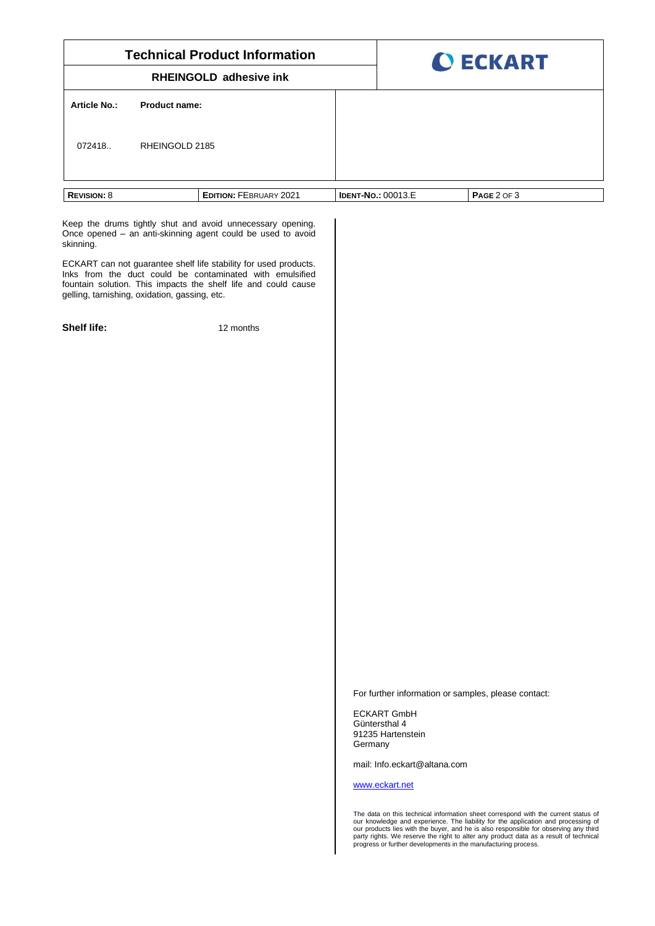| <b>Technical Product Information</b><br><b>RHEINGOLD adhesive ink</b>                                                                                                                                                                           | <b>O ECKART</b> |                                                                                                                                                                                                                                                                                                                                                                                                                            |  |
|-------------------------------------------------------------------------------------------------------------------------------------------------------------------------------------------------------------------------------------------------|-----------------|----------------------------------------------------------------------------------------------------------------------------------------------------------------------------------------------------------------------------------------------------------------------------------------------------------------------------------------------------------------------------------------------------------------------------|--|
|                                                                                                                                                                                                                                                 |                 |                                                                                                                                                                                                                                                                                                                                                                                                                            |  |
| <b>Article No.:</b><br><b>Product name:</b>                                                                                                                                                                                                     |                 |                                                                                                                                                                                                                                                                                                                                                                                                                            |  |
| 072418.<br>RHEINGOLD 2185                                                                                                                                                                                                                       |                 |                                                                                                                                                                                                                                                                                                                                                                                                                            |  |
| <b>REVISION: 8</b><br><b>EDITION: FEBRUARY 2021</b>                                                                                                                                                                                             |                 | PAGE 2 OF 3<br><b>IDENT-NO.: 00013.E</b>                                                                                                                                                                                                                                                                                                                                                                                   |  |
| Keep the drums tightly shut and avoid unnecessary opening.<br>Once opened - an anti-skinning agent could be used to avoid<br>skinning.                                                                                                          |                 |                                                                                                                                                                                                                                                                                                                                                                                                                            |  |
| ECKART can not guarantee shelf life stability for used products.<br>Inks from the duct could be contaminated with emulsified<br>fountain solution. This impacts the shelf life and could cause<br>gelling, tarnishing, oxidation, gassing, etc. |                 |                                                                                                                                                                                                                                                                                                                                                                                                                            |  |
| <b>Shelf life:</b><br>12 months                                                                                                                                                                                                                 |                 |                                                                                                                                                                                                                                                                                                                                                                                                                            |  |
|                                                                                                                                                                                                                                                 |                 |                                                                                                                                                                                                                                                                                                                                                                                                                            |  |
|                                                                                                                                                                                                                                                 |                 |                                                                                                                                                                                                                                                                                                                                                                                                                            |  |
|                                                                                                                                                                                                                                                 |                 |                                                                                                                                                                                                                                                                                                                                                                                                                            |  |
|                                                                                                                                                                                                                                                 |                 |                                                                                                                                                                                                                                                                                                                                                                                                                            |  |
|                                                                                                                                                                                                                                                 |                 |                                                                                                                                                                                                                                                                                                                                                                                                                            |  |
|                                                                                                                                                                                                                                                 |                 |                                                                                                                                                                                                                                                                                                                                                                                                                            |  |
|                                                                                                                                                                                                                                                 |                 |                                                                                                                                                                                                                                                                                                                                                                                                                            |  |
|                                                                                                                                                                                                                                                 |                 |                                                                                                                                                                                                                                                                                                                                                                                                                            |  |
|                                                                                                                                                                                                                                                 |                 |                                                                                                                                                                                                                                                                                                                                                                                                                            |  |
|                                                                                                                                                                                                                                                 |                 |                                                                                                                                                                                                                                                                                                                                                                                                                            |  |
|                                                                                                                                                                                                                                                 |                 |                                                                                                                                                                                                                                                                                                                                                                                                                            |  |
|                                                                                                                                                                                                                                                 |                 |                                                                                                                                                                                                                                                                                                                                                                                                                            |  |
|                                                                                                                                                                                                                                                 |                 | For further information or samples, please contact:<br><b>ECKART GmbH</b>                                                                                                                                                                                                                                                                                                                                                  |  |
|                                                                                                                                                                                                                                                 | Germany         | Güntersthal 4<br>91235 Hartenstein                                                                                                                                                                                                                                                                                                                                                                                         |  |
|                                                                                                                                                                                                                                                 |                 | mail: Info.eckart@altana.com                                                                                                                                                                                                                                                                                                                                                                                               |  |
|                                                                                                                                                                                                                                                 |                 | www.eckart.net                                                                                                                                                                                                                                                                                                                                                                                                             |  |
|                                                                                                                                                                                                                                                 |                 | The data on this technical information sheet correspond with the current status of<br>our knowledge and experience. The liability for the application and processing of<br>our products lies with the buyer, and he is also responsible for observing any third<br>party rights. We reserve the right to alter any product data as a result of technical<br>progress or further developments in the manufacturing process. |  |